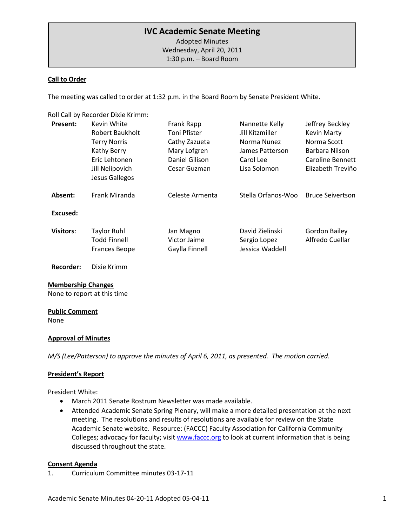# **IVC Academic Senate Meeting**

Adopted Minutes Wednesday, April 20, 2011 1:30 p.m. – Board Room

#### **Call to Order**

The meeting was called to order at 1:32 p.m. in the Board Room by Senate President White.

Roll Call by Recorder Dixie Krimm:

| <b>Present:</b>  | Kevin White                                                       | Frank Rapp                                  | Nannette Kelly                                     | Jeffrey Beckley                         |
|------------------|-------------------------------------------------------------------|---------------------------------------------|----------------------------------------------------|-----------------------------------------|
|                  | <b>Robert Baukholt</b>                                            | Toni Pfister                                | Jill Kitzmiller                                    | <b>Kevin Marty</b>                      |
|                  | <b>Terry Norris</b>                                               | Cathy Zazueta                               | Norma Nunez                                        | Norma Scott                             |
|                  | Kathy Berry                                                       | Mary Lofgren                                | James Patterson                                    | Barbara Nilson                          |
|                  | Eric Lehtonen                                                     | Daniel Gilison                              | Carol Lee                                          | <b>Caroline Bennett</b>                 |
|                  | Jill Nelipovich<br>Jesus Gallegos                                 | Cesar Guzman                                | Lisa Solomon                                       | Elizabeth Treviño                       |
| Absent:          | Frank Miranda                                                     | Celeste Armenta                             | Stella Orfanos-Woo                                 | <b>Bruce Seivertson</b>                 |
| Excused:         |                                                                   |                                             |                                                    |                                         |
| <b>Visitors:</b> | <b>Taylor Ruhl</b><br><b>Todd Finnell</b><br><b>Frances Beope</b> | Jan Magno<br>Victor Jaime<br>Gaylla Finnell | David Zielinski<br>Sergio Lopez<br>Jessica Waddell | <b>Gordon Bailey</b><br>Alfredo Cuellar |

**Recorder:** Dixie Krimm

#### **Membership Changes**

None to report at this time

#### **Public Comment**

None

### **Approval of Minutes**

*M/S (Lee/Patterson) to approve the minutes of April 6, 2011, as presented. The motion carried.* 

#### **President's Report**

President White:

- March 2011 Senate Rostrum Newsletter was made available.
- Attended Academic Senate Spring Plenary, will make a more detailed presentation at the next meeting. The resolutions and results of resolutions are available for review on the State Academic Senate website. Resource: (FACCC) Faculty Association for California Community Colleges; advocacy for faculty; visit [www.faccc.org](http://www.faccc.org/) to look at current information that is being discussed throughout the state.

#### **Consent Agenda**

1. Curriculum Committee minutes 03-17-11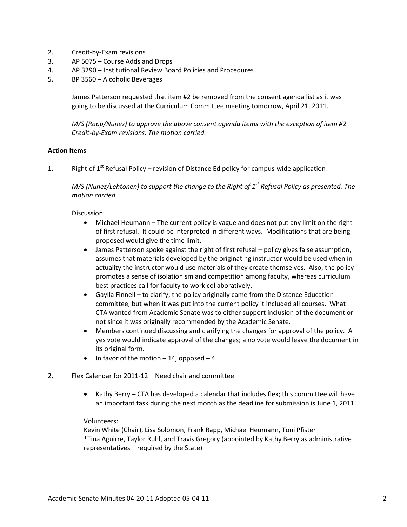- 2. Credit-by-Exam revisions
- 3. AP 5075 Course Adds and Drops
- 4. AP 3290 Institutional Review Board Policies and Procedures
- 5. BP 3560 Alcoholic Beverages

James Patterson requested that item #2 be removed from the consent agenda list as it was going to be discussed at the Curriculum Committee meeting tomorrow, April 21, 2011.

*M/S (Rapp/Nunez) to approve the above consent agenda items with the exception of item #2 Credit-by-Exam revisions. The motion carried.*

### **Action Items**

1. Right of  $1^{st}$  Refusal Policy – revision of Distance Ed policy for campus-wide application

*M/S (Nunez/Lehtonen) to support the change to the Right of 1st Refusal Policy as presented. The motion carried.*

Discussion:

- Michael Heumann The current policy is vague and does not put any limit on the right of first refusal. It could be interpreted in different ways. Modifications that are being proposed would give the time limit.
- James Patterson spoke against the right of first refusal policy gives false assumption, assumes that materials developed by the originating instructor would be used when in actuality the instructor would use materials of they create themselves. Also, the policy promotes a sense of isolationism and competition among faculty, whereas curriculum best practices call for faculty to work collaboratively.
- Gaylla Finnell to clarify; the policy originally came from the Distance Education committee, but when it was put into the current policy it included all courses. What CTA wanted from Academic Senate was to either support inclusion of the document or not since it was originally recommended by the Academic Senate.
- Members continued discussing and clarifying the changes for approval of the policy. A yes vote would indicate approval of the changes; a no vote would leave the document in its original form.
- In favor of the motion  $-14$ , opposed  $-4$ .
- 2. Flex Calendar for 2011-12 Need chair and committee
	- Kathy Berry CTA has developed a calendar that includes flex; this committee will have an important task during the next month as the deadline for submission is June 1, 2011.

#### Volunteers:

Kevin White (Chair), Lisa Solomon, Frank Rapp, Michael Heumann, Toni Pfister \*Tina Aguirre, Taylor Ruhl, and Travis Gregory (appointed by Kathy Berry as administrative representatives – required by the State)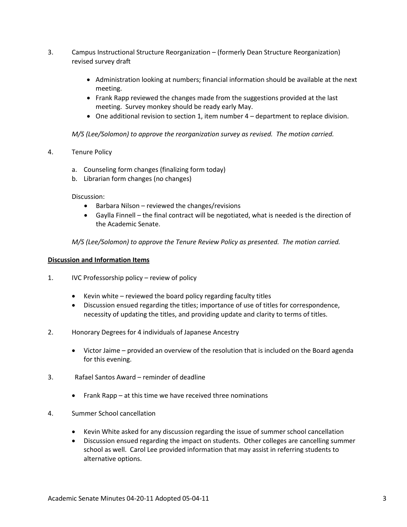- 3. Campus Instructional Structure Reorganization (formerly Dean Structure Reorganization) revised survey draft
	- Administration looking at numbers; financial information should be available at the next meeting.
	- Frank Rapp reviewed the changes made from the suggestions provided at the last meeting. Survey monkey should be ready early May.
	- One additional revision to section 1, item number 4 department to replace division.

*M/S (Lee/Solomon) to approve the reorganization survey as revised. The motion carried.*

- 4. Tenure Policy
	- a. Counseling form changes (finalizing form today)
	- b. Librarian form changes (no changes)

Discussion:

- Barbara Nilson reviewed the changes/revisions
- Gaylla Finnell the final contract will be negotiated, what is needed is the direction of the Academic Senate.

*M/S (Lee/Solomon) to approve the Tenure Review Policy as presented. The motion carried.*

#### **Discussion and Information Items**

- 1. IVC Professorship policy review of policy
	- Kevin white reviewed the board policy regarding faculty titles
	- Discussion ensued regarding the titles; importance of use of titles for correspondence, necessity of updating the titles, and providing update and clarity to terms of titles.
- 2. Honorary Degrees for 4 individuals of Japanese Ancestry
	- Victor Jaime provided an overview of the resolution that is included on the Board agenda for this evening.
- 3. Rafael Santos Award reminder of deadline
	- Frank Rapp at this time we have received three nominations
- 4. Summer School cancellation
	- Kevin White asked for any discussion regarding the issue of summer school cancellation
	- Discussion ensued regarding the impact on students. Other colleges are cancelling summer school as well. Carol Lee provided information that may assist in referring students to alternative options.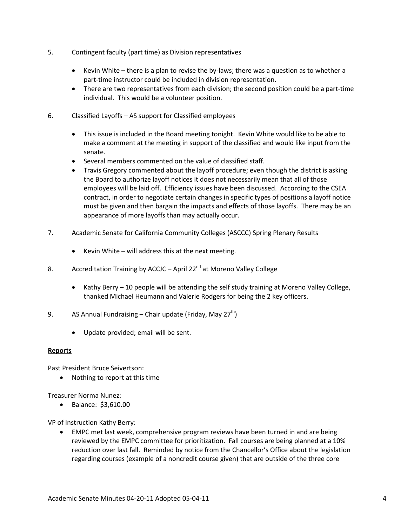- 5. Contingent faculty (part time) as Division representatives
	- Kevin White there is a plan to revise the by-laws; there was a question as to whether a part-time instructor could be included in division representation.
	- There are two representatives from each division; the second position could be a part-time individual. This would be a volunteer position.
- 6. Classified Layoffs AS support for Classified employees
	- This issue is included in the Board meeting tonight. Kevin White would like to be able to make a comment at the meeting in support of the classified and would like input from the senate.
	- Several members commented on the value of classified staff.
	- Travis Gregory commented about the layoff procedure; even though the district is asking the Board to authorize layoff notices it does not necessarily mean that all of those employees will be laid off. Efficiency issues have been discussed. According to the CSEA contract, in order to negotiate certain changes in specific types of positions a layoff notice must be given and then bargain the impacts and effects of those layoffs. There may be an appearance of more layoffs than may actually occur.
- 7. Academic Senate for California Community Colleges (ASCCC) Spring Plenary Results
	- Kevin White will address this at the next meeting.
- 8. Accreditation Training by ACCJC April 22<sup>nd</sup> at Moreno Valley College
	- Kathy Berry 10 people will be attending the self study training at Moreno Valley College, thanked Michael Heumann and Valerie Rodgers for being the 2 key officers.
- 9. AS Annual Fundraising Chair update (Friday, May 27<sup>th</sup>)
	- Update provided; email will be sent.

### **Reports**

Past President Bruce Seivertson:

• Nothing to report at this time

Treasurer Norma Nunez:

• Balance: \$3,610.00

VP of Instruction Kathy Berry:

• EMPC met last week, comprehensive program reviews have been turned in and are being reviewed by the EMPC committee for prioritization. Fall courses are being planned at a 10% reduction over last fall. Reminded by notice from the Chancellor's Office about the legislation regarding courses (example of a noncredit course given) that are outside of the three core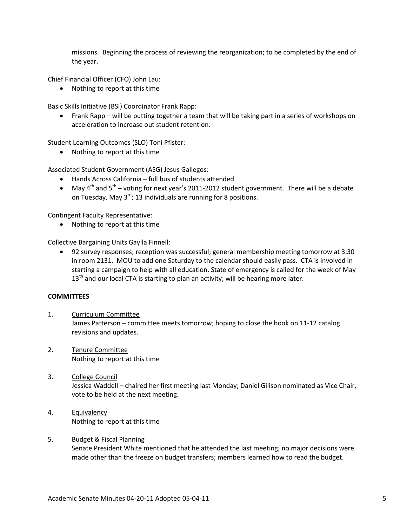missions. Beginning the process of reviewing the reorganization; to be completed by the end of the year.

Chief Financial Officer (CFO) John Lau:

• Nothing to report at this time

Basic Skills Initiative (BSI) Coordinator Frank Rapp:

• Frank Rapp – will be putting together a team that will be taking part in a series of workshops on acceleration to increase out student retention.

Student Learning Outcomes (SLO) Toni Pfister:

• Nothing to report at this time

Associated Student Government (ASG) Jesus Gallegos:

- Hands Across California full bus of students attended
- May  $4^{\text{th}}$  and  $5^{\text{th}}$  voting for next year's 2011-2012 student government. There will be a debate on Tuesday, May  $3^{rd}$ ; 13 individuals are running for 8 positions.

Contingent Faculty Representative:

• Nothing to report at this time

Collective Bargaining Units Gaylla Finnell:

• 92 survey responses; reception was successful; general membership meeting tomorrow at 3:30 in room 2131. MOU to add one Saturday to the calendar should easily pass. CTA is involved in starting a campaign to help with all education. State of emergency is called for the week of May  $13<sup>th</sup>$  and our local CTA is starting to plan an activity; will be hearing more later.

### **COMMITTEES**

- 1. Curriculum Committee James Patterson – committee meets tomorrow; hoping to close the book on 11-12 catalog revisions and updates.
- 2. Tenure Committee Nothing to report at this time
- 3. College Council Jessica Waddell – chaired her first meeting last Monday; Daniel Gilison nominated as Vice Chair, vote to be held at the next meeting.
- 4. Equivalency Nothing to report at this time

### 5. Budget & Fiscal Planning

Senate President White mentioned that he attended the last meeting; no major decisions were made other than the freeze on budget transfers; members learned how to read the budget.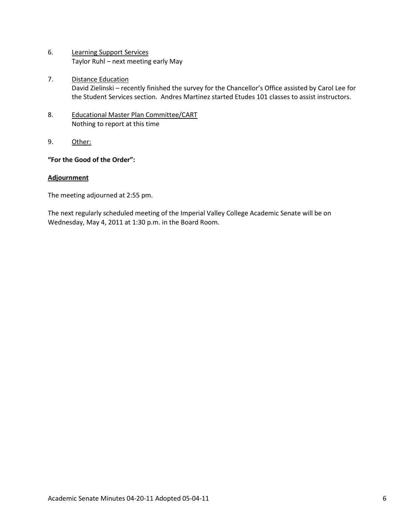- 6. Learning Support Services Taylor Ruhl – next meeting early May
- 7. Distance Education David Zielinski – recently finished the survey for the Chancellor's Office assisted by Carol Lee for the Student Services section. Andres Martinez started Etudes 101 classes to assist instructors.
- 8. Educational Master Plan Committee/CART Nothing to report at this time
- 9. Other:

# **"For the Good of the Order":**

### **Adjournment**

The meeting adjourned at 2:55 pm.

The next regularly scheduled meeting of the Imperial Valley College Academic Senate will be on Wednesday, May 4, 2011 at 1:30 p.m. in the Board Room.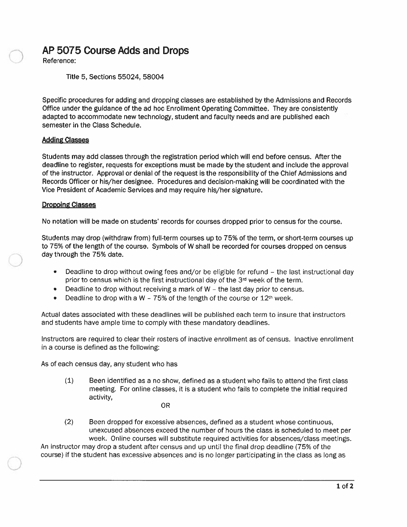# AP 5075 Course Adds and Drops

Reference:

Title 5, Sections 55024, 58004

Specific procedures for adding and dropping classes are established by the Admissions and Records Office under the guidance of the ad hoc Enrollment Operating Committee. They are consistently adapted to accommodate new technology, student and faculty needs and are published each semester in the Class Schedule.

### **Adding Classes**

Students may add classes through the registration period which will end before census. After the deadline to register, requests for exceptions must be made by the student and include the approval of the instructor. Approval or denial of the request is the responsibility of the Chief Admissions and Records Officer or his/her designee. Procedures and decision-making will be coordinated with the Vice President of Academic Services and may require his/her signature.

### **Dropping Classes**

No notation will be made on students' records for courses dropped prior to census for the course.

Students may drop (withdraw from) full-term courses up to 75% of the term, or short-term courses up to 75% of the length of the course. Symbols of W shall be recorded for courses dropped on census day through the 75% date.

- Deadline to drop without owing fees and/or be eligible for refund the last instructional day  $\bullet$ prior to census which is the first instructional day of the  $3<sup>d</sup>$  week of the term.
- Deadline to drop without receiving a mark of W the last day prior to census.  $\bullet$
- Deadline to drop with a W 75% of the length of the course or  $12<sup>th</sup>$  week.  $\bullet$

Actual dates associated with these deadlines will be published each term to insure that instructors and students have ample time to comply with these mandatory deadlines.

Instructors are required to clear their rosters of inactive enrollment as of census. Inactive enrollment in a course is defined as the following:

As of each census day, any student who has

 $(1)$ Been identified as a no show, defined as a student who fails to attend the first class meeting. For online classes, it is a student who fails to complete the initial required activity,

0<sub>R</sub>

 $(2)$ Been dropped for excessive absences, defined as a student whose continuous, unexcused absences exceed the number of hours the class is scheduled to meet per week. Online courses will substitute required activities for absences/class meetings.

An instructor may drop a student after census and up until the final drop deadline (75% of the course) if the student has excessive absences and is no longer participating in the class as long as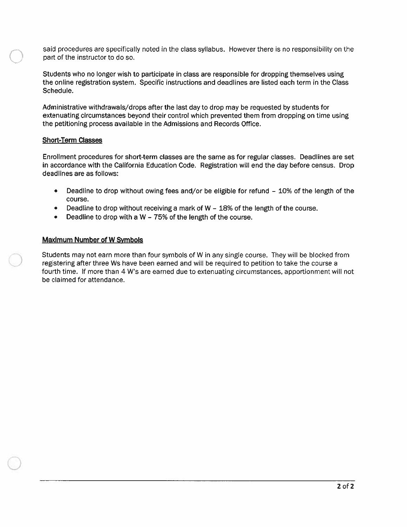said procedures are specifically noted in the class syllabus. However there is no responsibility on the part of the instructor to do so.

Students who no longer wish to participate in class are responsible for dropping themselves using the online registration system. Specific instructions and deadlines are listed each term in the Class Schedule.

Administrative withdrawals/drops after the last day to drop may be requested by students for extenuating circumstances beyond their control which prevented them from dropping on time using the petitioning process available in the Admissions and Records Office.

### **Short-Term Classes**

Enrollment procedures for short-term classes are the same as for regular classes. Deadlines are set in accordance with the California Education Code. Registration will end the day before census. Drop deadlines are as follows:

- Deadline to drop without owing fees and/or be eligible for refund 10% of the length of the  $\bullet$ course.
- Deadline to drop without receiving a mark of  $W 18%$  of the length of the course.
- Deadline to drop with a W 75% of the length of the course.  $\bullet$

#### **Maximum Number of W Symbols**

Students may not earn more than four symbols of W in any single course. They will be blocked from registering after three Ws have been earned and will be required to petition to take the course a fourth time. If more than 4 W's are earned due to extenuating circumstances, apportionment will not be claimed for attendance.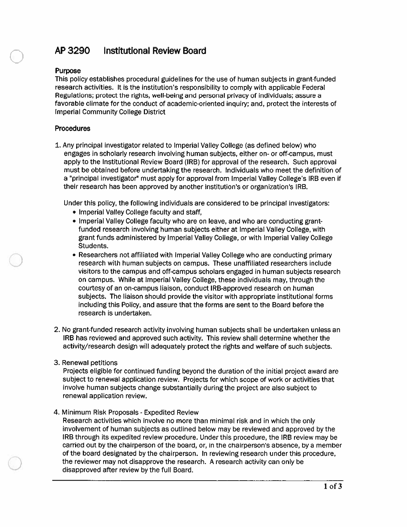#### **Institutional Review Board** AP 3290

### **Purpose**

This policy establishes procedural guidelines for the use of human subjects in grant-funded research activities. It is the institution's responsibility to comply with applicable Federal Regulations; protect the rights, well-being and personal privacy of individuals; assure a favorable climate for the conduct of academic-oriented inquiry; and, protect the interests of **Imperial Community College District** 

## **Procedures**

1. Any principal investigator related to Imperial Valley College (as defined below) who engages in scholarly research involving human subjects, either on- or off-campus, must apply to the Institutional Review Board (IRB) for approval of the research. Such approval must be obtained before undertaking the research. Individuals who meet the definition of a "principal investigator" must apply for approval from Imperial Valley College's IRB even if their research has been approved by another institution's or organization's IRB.

Under this policy, the following individuals are considered to be principal investigators:

- Imperial Valley College faculty and staff,
- Imperial Valley College faculty who are on leave, and who are conducting grantfunded research involving human subjects either at Imperial Valley College, with grant funds administered by Imperial Valley College, or with Imperial Valley College Students.
- Researchers not affiliated with Imperial Valley College who are conducting primary research with human subjects on campus. These unaffiliated researchers include visitors to the campus and off-campus scholars engaged in human subjects research on campus. While at Imperial Valley College, these individuals may, through the courtesy of an on-campus liaison, conduct IRB-approved research on human subjects. The liaison should provide the visitor with appropriate institutional forms including this Policy, and assure that the forms are sent to the Board before the research is undertaken.
- 2. No grant-funded research activity involving human subjects shall be undertaken unless an IRB has reviewed and approved such activity. This review shall determine whether the activity/research design will adequately protect the rights and welfare of such subjects.
- 3. Renewal petitions

Projects eligible for continued funding beyond the duration of the initial project award are subject to renewal application review. Projects for which scope of work or activities that involve human subjects change substantially during the project are also subject to renewal application review.

### 4. Minimum Risk Proposals - Expedited Review

Research activities which involve no more than minimal risk and in which the only involvement of human subjects as outlined below may be reviewed and approved by the IRB through its expedited review procedure. Under this procedure, the IRB review may be carried out by the chairperson of the board, or, in the chairperson's absence, by a member of the board designated by the chairperson. In reviewing research under this procedure, the reviewer may not disapprove the research. A research activity can only be disapproved after review by the full Board.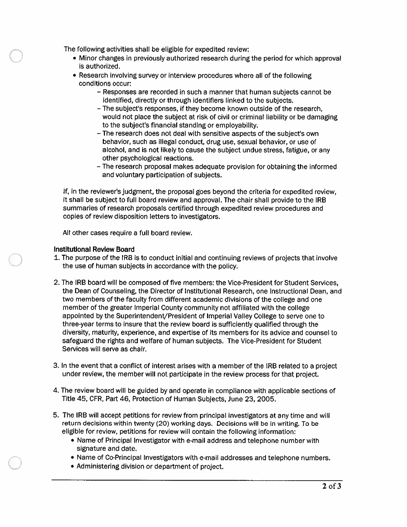The following activities shall be eligible for expedited review:

- Minor changes in previously authorized research during the period for which approval is authorized.
- Research involving survey or interview procedures where all of the following conditions occur:
	- Responses are recorded in such a manner that human subjects cannot be identified, directly or through identifiers linked to the subjects.
	- The subject's responses, if they become known outside of the research, would not place the subject at risk of civil or criminal liability or be damaging to the subject's financial standing or employability.
	- The research does not deal with sensitive aspects of the subject's own behavior, such as illegal conduct, drug use, sexual behavior, or use of alcohol, and is not likely to cause the subject undue stress, fatigue, or any other psychological reactions.
	- The research proposal makes adequate provision for obtaining the informed and voluntary participation of subjects.

If, in the reviewer's judgment, the proposal goes beyond the criteria for expedited review, it shall be subject to full board review and approval. The chair shall provide to the IRB summaries of research proposals certified through expedited review procedures and copies of review disposition letters to investigators.

All other cases require a full board review.

### **Institutional Review Board**

- 1. The purpose of the IRB is to conduct initial and continuing reviews of projects that involve the use of human subjects in accordance with the policy.
- 2. The IRB board will be composed of five members: the Vice-President for Student Services, the Dean of Counseling, the Director of Institutional Research, one Instructional Dean, and two members of the faculty from different academic divisions of the college and one member of the greater Imperial County community not affiliated with the college appointed by the Superintendent/President of Imperial Valley College to serve one to three-year terms to insure that the review board is sufficiently qualified through the diversity, maturity, experience, and expertise of its members for its advice and counsel to safeguard the rights and welfare of human subjects. The Vice-President for Student Services will serve as chair.
- 3. In the event that a conflict of interest arises with a member of the IRB related to a project under review, the member will not participate in the review process for that project.
- 4. The review board will be guided by and operate in compliance with applicable sections of Title 45, CFR, Part 46, Protection of Human Subjects, June 23, 2005.
- 5. The IRB will accept petitions for review from principal investigators at any time and will return decisions within twenty (20) working days. Decisions will be in writing. To be eligible for review, petitions for review will contain the following information:
	- Name of Principal Investigator with e-mail address and telephone number with signature and date.
	- Name of Co-Principal Investigators with e-mail addresses and telephone numbers.
	- Administering division or department of project.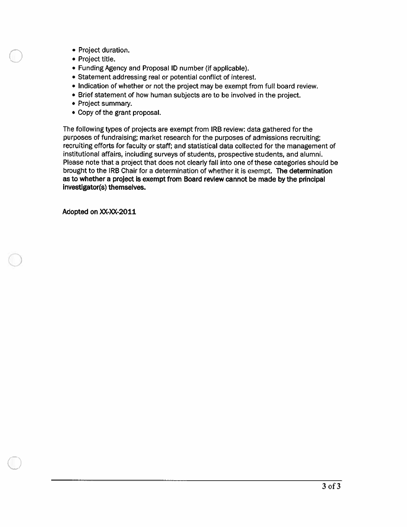- Project duration.
- Project title.
- Funding Agency and Proposal ID number (if applicable).
- Statement addressing real or potential conflict of interest.
- Indication of whether or not the project may be exempt from full board review.
- Brief statement of how human subjects are to be involved in the project.
- Project summary.
- Copy of the grant proposal.

The following types of projects are exempt from IRB review: data gathered for the purposes of fundraising; market research for the purposes of admissions recruiting; recruiting efforts for faculty or staff; and statistical data collected for the management of institutional affairs, including surveys of students, prospective students, and alumni. Please note that a project that does not clearly fall into one of these categories should be brought to the IRB Chair for a determination of whether it is exempt. The determination as to whether a project is exempt from Board review cannot be made by the principal investigator(s) themselves.

Adopted on XX-XX-2011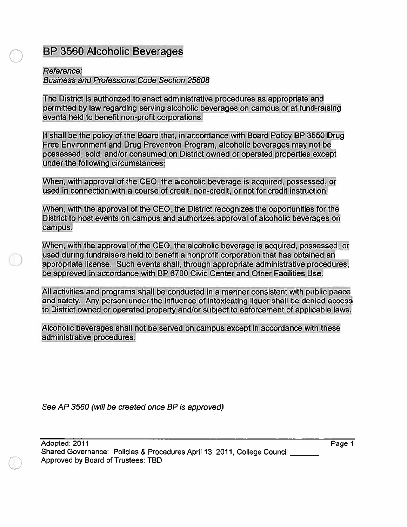# **BP 3560 Alcoholic Beverages**

# Reference:

**Business and Professions Code Section 25608** 

The District is authorized to enact administrative procedures as appropriate and permitted by law regarding serving alcoholic beverages on campus or at fund-raising events held to benefit non-profit corporations.

It shall be the policy of the Board that, in accordance with Board Policy BP 3550 Drug Free Environment and Drug Prevention Program, alcoholic beverages may not be possessed, sold, and/or consumed on District owned or operated properties except under the following circumstances:

When, with approval of the CEO, the alcoholic beverage is acquired, possessed, or used in connection with a course of credit, non-credit, or not for credit instruction.

When, with the approval of the CEO, the District recognizes the opportunities for the District to host events on campus and authorizes approval of alcoholic beverages on campus.

When, with the approval of the CEO, the alcoholic beverage is acquired, possessed, or used during fundraisers held to benefit a nonprofit corporation that has obtained an appropriate license. Such events shall, through appropriate administrative procedures, be approved in accordance with BP 6700 Civic Center and Other Facilities Use.

All activities and programs shall be conducted in a manner consistent with public peace and safety. Any person under the influence of intoxicating liquor shall be denied access to District owned or operated property and/or subject to enforcement of applicable laws.

Alcoholic beverages shall not be served on campus except in accordance with these administrative procedures.

See AP 3560 (will be created once BP is approved)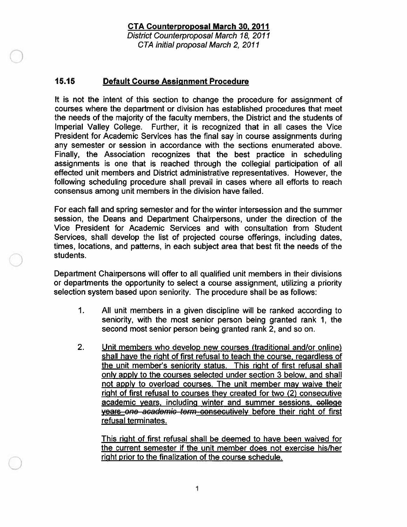# **CTA Counterproposal March 30, 2011**

District Counterproposal March 18, 2011 CTA initial proposal March 2, 2011

#### 15.15 **Default Course Assignment Procedure**

It is not the intent of this section to change the procedure for assignment of courses where the department or division has established procedures that meet the needs of the majority of the faculty members, the District and the students of Imperial Valley College. Further, it is recognized that in all cases the Vice President for Academic Services has the final say in course assignments during any semester or session in accordance with the sections enumerated above. Finally, the Association recognizes that the best practice in scheduling assignments is one that is reached through the collegial participation of all effected unit members and District administrative representatives. However, the following scheduling procedure shall prevail in cases where all efforts to reach consensus among unit members in the division have failed.

For each fall and spring semester and for the winter intersession and the summer session, the Deans and Department Chairpersons, under the direction of the Vice President for Academic Services and with consultation from Student Services, shall develop the list of projected course offerings, including dates, times, locations, and patterns, in each subject area that best fit the needs of the students.

Department Chairpersons will offer to all qualified unit members in their divisions or departments the opportunity to select a course assignment, utilizing a priority selection system based upon seniority. The procedure shall be as follows:

- $\mathbf{1}$ . All unit members in a given discipline will be ranked according to seniority, with the most senior person being granted rank 1, the second most senior person being granted rank 2, and so on.
- 2. Unit members who develop new courses (traditional and/or online) shall have the right of first refusal to teach the course, regardless of the unit member's seniority status. This right of first refusal shall only apply to the courses selected under section 3 below, and shall not apply to overload courses. The unit member may waive their right of first refusal to courses they created for two (2) consecutive academic years, including winter and summer sessions, college years one academic term consecutively before their right of first refusal terminates.

This right of first refusal shall be deemed to have been waived for the current semester if the unit member does not exercise his/her right prior to the finalization of the course schedule.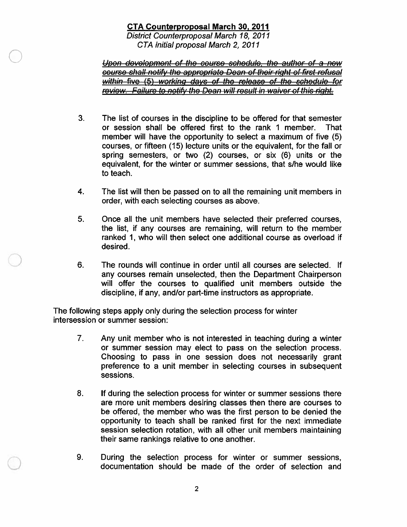# **CTA Counterproposal March 30, 2011**

District Counterproposal March 18, 2011 CTA initial proposal March 2, 2011

Upon development of the course schedule, the author of a new course shall notify the appropriate Dean of their right of first refusal within five (5) working days of the release of the schedule for review. Failure to notify the Dean will result in waiver of this right.

- $3<sub>1</sub>$ The list of courses in the discipline to be offered for that semester or session shall be offered first to the rank 1 member. **That** member will have the opportunity to select a maximum of five (5) courses, or fifteen (15) lecture units or the equivalent, for the fall or spring semesters, or two (2) courses, or six (6) units or the equivalent, for the winter or summer sessions, that s/he would like to teach.
- $\overline{\mathbf{4}}$ The list will then be passed on to all the remaining unit members in order, with each selecting courses as above.
- 5. Once all the unit members have selected their preferred courses, the list, if any courses are remaining, will return to the member ranked 1, who will then select one additional course as overload if desired.
- 6. The rounds will continue in order until all courses are selected. If any courses remain unselected, then the Department Chairperson will offer the courses to qualified unit members outside the discipline, if any, and/or part-time instructors as appropriate.

The following steps apply only during the selection process for winter intersession or summer session:

- $7<sub>1</sub>$ Any unit member who is not interested in teaching during a winter or summer session may elect to pass on the selection process. Choosing to pass in one session does not necessarily grant preference to a unit member in selecting courses in subsequent sessions.
- $8<sub>1</sub>$ If during the selection process for winter or summer sessions there are more unit members desiring classes then there are courses to be offered, the member who was the first person to be denied the opportunity to teach shall be ranked first for the next immediate session selection rotation, with all other unit members maintaining their same rankings relative to one another.
- 9. During the selection process for winter or summer sessions, documentation should be made of the order of selection and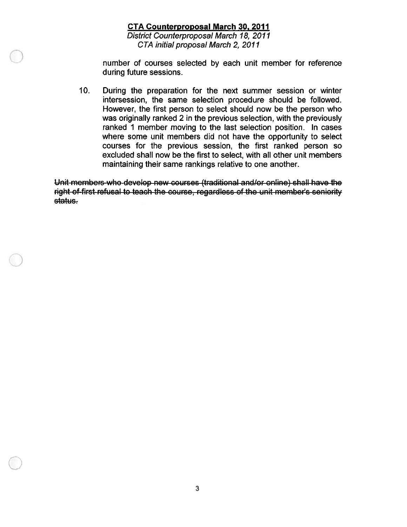# **CTA Counterproposal March 30, 2011**

District Counterproposal March 18, 2011 CTA initial proposal March 2, 2011

number of courses selected by each unit member for reference during future sessions.

 $10.$ During the preparation for the next summer session or winter intersession, the same selection procedure should be followed. However, the first person to select should now be the person who was originally ranked 2 in the previous selection, with the previously ranked 1 member moving to the last selection position. In cases where some unit members did not have the opportunity to select courses for the previous session, the first ranked person so excluded shall now be the first to select, with all other unit members maintaining their same rankings relative to one another.

Unit members who develop new courses (traditional and/or online) shall have the right of first refusal to teach the course, regardless of the unit member's seniority status.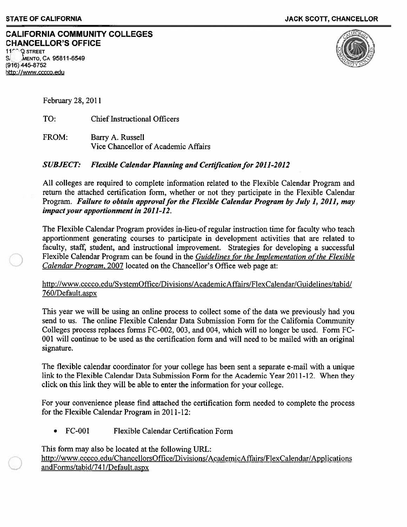### **CALIFORNIA COMMUNITY COLLEGES CHANCELLOR'S OFFICE Q STREET**

MENTO, CA 95811-6549 (916) 445-8752 http://www.cccco.edu



February 28, 2011

TO: **Chief Instructional Officers** 

FROM: Barry A. Russell Vice Chancellor of Academic Affairs

#### **SUBJECT: Flexible Calendar Planning and Certification for 2011-2012**

All colleges are required to complete information related to the Flexible Calendar Program and return the attached certification form, whether or not they participate in the Flexible Calendar Program. Failure to obtain approval for the Flexible Calendar Program by July 1, 2011, may impact your apportionment in 2011-12.

The Flexible Calendar Program provides in-lieu-of regular instruction time for faculty who teach apportionment generating courses to participate in development activities that are related to faculty, staff, student, and instructional improvement. Strategies for developing a successful Flexible Calendar Program can be found in the Guidelines for the Implementation of the Flexible Calendar Program, 2007 located on the Chancellor's Office web page at:

# http://www.cccco.edu/SystemOffice/Divisions/AcademicAffairs/FlexCalendar/Guidelines/tabid/ 760/Default.aspx

This year we will be using an online process to collect some of the data we previously had you send to us. The online Flexible Calendar Data Submission Form for the California Community Colleges process replaces forms FC-002, 003, and 004, which will no longer be used. Form FC-001 will continue to be used as the certification form and will need to be mailed with an original signature.

The flexible calendar coordinator for your college has been sent a separate e-mail with a unique link to the Flexible Calendar Data Submission Form for the Academic Year 2011-12. When they click on this link they will be able to enter the information for your college.

For your convenience please find attached the certification form needed to complete the process for the Flexible Calendar Program in 2011-12:

**FC-001** Flexible Calendar Certification Form

This form may also be located at the following URL: http://www.cccco.edu/ChancellorsOffice/Divisions/AcademicAffairs/FlexCalendar/Applications andForms/tabid/741/Default.aspx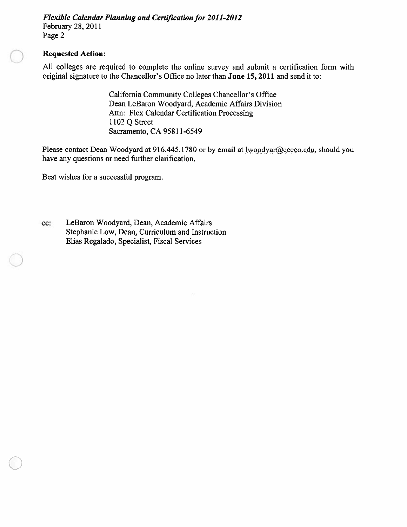**Flexible Calendar Planning and Certification for 2011-2012** February 28, 2011 Page 2

### **Requested Action:**

All colleges are required to complete the online survey and submit a certification form with original signature to the Chancellor's Office no later than June 15, 2011 and send it to:

> California Community Colleges Chancellor's Office Dean LeBaron Woodyard, Academic Affairs Division Attn: Flex Calendar Certification Processing 1102 Q Street Sacramento, CA 95811-6549

Please contact Dean Woodyard at 916.445.1780 or by email at lwoodyar@cccco.edu, should you have any questions or need further clarification.

Best wishes for a successful program.

cc: LeBaron Woodyard, Dean, Academic Affairs Stephanie Low, Dean, Curriculum and Instruction Elias Regalado, Specialist, Fiscal Services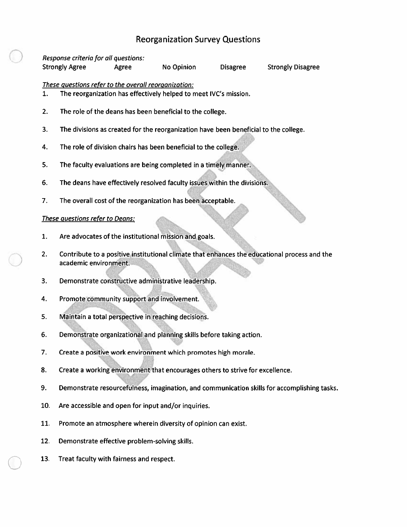# **Reorganization Survey Questions**

#### Response criteria for all questions: **Strongly Agree** Agree **No Opinion Disagree Strongly Disagree** These questions refer to the overall reorganization: The reorganization has effectively helped to meet IVC's mission. 1.

- $2.$ The role of the deans has been beneficial to the college.
- 3. The divisions as created for the reorganization have been beneficial to the college.
- 4. The role of division chairs has been beneficial to the college.
- 5. The faculty evaluations are being completed in a timely manner.
- 6. The deans have effectively resolved faculty issues within the divisions.
- 7. The overall cost of the reorganization has been acceptable.

## These questions refer to Deans:

- Are advocates of the institutional mission and goals. 1.
- $2.$ Contribute to a positive institutional climate that enhances the educational process and the academic environment.
- Demonstrate constructive administrative leadership. 3.
- 4. Promote community support and involvement.
- 5. Maintain a total perspective in reaching decisions.
- 6. Demonstrate organizational and planning skills before taking action.
- 7. Create a positive work environment which promotes high morale.
- Create a working environment that encourages others to strive for excellence. 8.
- 9. Demonstrate resourcefulness, imagination, and communication skills for accomplishing tasks.
- 10. Are accessible and open for input and/or inquiries.
- 11. Promote an atmosphere wherein diversity of opinion can exist.
- 12. Demonstrate effective problem-solving skills.
- 13. Treat faculty with fairness and respect.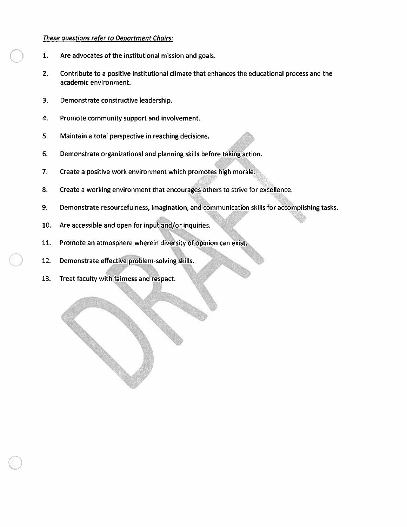#### These questions refer to Department Chairs:

- Are advocates of the institutional mission and goals. 1.
- $2.$ Contribute to a positive institutional climate that enhances the educational process and the academic environment.
- 3. Demonstrate constructive leadership.
- 4. Promote community support and involvement.
- 5. Maintain a total perspective in reaching decisions.
- 6. Demonstrate organizational and planning skills before taking action.
- $7.$ Create a positive work environment which promotes high morale.
- 8. Create a working environment that encourages others to strive for excellence.
- 9. Demonstrate resourcefulness, imagination, and communication skills for accomplishing tasks.
- 10. Are accessible and open for input and/or inquiries.
- 11. Promote an atmosphere wherein diversity of opinion can exist.
- 12. Demonstrate effective problem-solving skills.
- 13. Treat faculty with fairness and respect.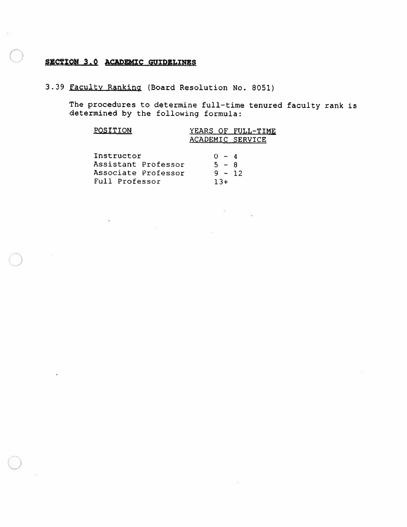# SECTION 3.0 ACADEMIC GUIDELINES

3.39 Faculty Ranking (Board Resolution No. 8051)

The procedures to determine full-time tenured faculty rank is determined by the following formula:

| POSITION            | YEARS OF FULL-TIME |
|---------------------|--------------------|
|                     | ACADEMIC SERVICE   |
|                     |                    |
| Instructor          | $0 - 4$            |
| Assistant Professor | $5 - R$            |
| Associate Professor | $9 - 12$           |
| Full Professor      | + ? 1              |